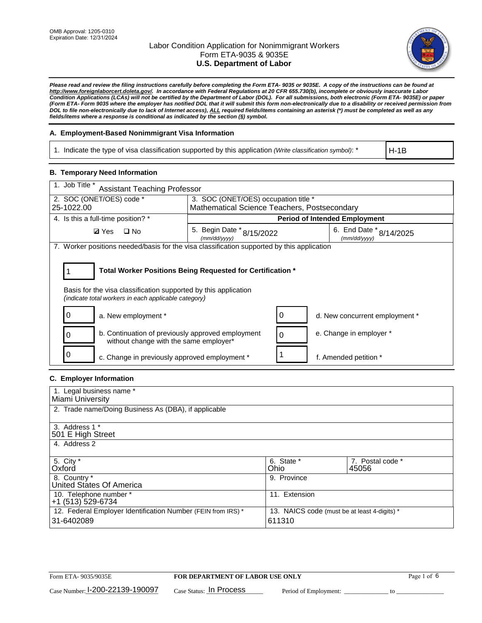

*Please read and review the filing instructions carefully before completing the Form ETA- 9035 or 9035E. A copy of the instructions can be found at [http://www.foreignlaborcert.doleta.gov/.](http://www.foreignlaborcert.doleta.gov/) In accordance with Federal Regulations at 20 CFR 655.730(b), incomplete or obviously inaccurate Labor Condition Applications (LCAs) will not be certified by the Department of Labor (DOL). For all submissions, both electronic (Form ETA- 9035E) or paper (Form ETA- Form 9035 where the employer has notified DOL that it will submit this form non-electronically due to a disability or received permission from DOL to file non-electronically due to lack of Internet access), ALL required fields/items containing an asterisk (\*) must be completed as well as any fields/items where a response is conditional as indicated by the section (§) symbol.* 

#### **A. Employment-Based Nonimmigrant Visa Information**

1. Indicate the type of visa classification supported by this application *(Write classification symbol)*: \*

H-1B

#### **B. Temporary Need Information**

| 1. Job Title *<br><b>Assistant Teaching Professor</b>                                                                                                                                 |                                              |                                      |                                             |  |  |
|---------------------------------------------------------------------------------------------------------------------------------------------------------------------------------------|----------------------------------------------|--------------------------------------|---------------------------------------------|--|--|
| 2. SOC (ONET/OES) code *<br>3. SOC (ONET/OES) occupation title *                                                                                                                      |                                              |                                      |                                             |  |  |
| 25-1022.00                                                                                                                                                                            | Mathematical Science Teachers, Postsecondary |                                      |                                             |  |  |
| 4. Is this a full-time position? *                                                                                                                                                    |                                              | <b>Period of Intended Employment</b> |                                             |  |  |
| <b>Ø</b> Yes<br>$\square$ No                                                                                                                                                          | 5. Begin Date * 8/15/2022<br>(mm/dd/yyyy)    |                                      | 6. End Date $*_{8/14/2025}$<br>(mm/dd/yyyy) |  |  |
| 7. Worker positions needed/basis for the visa classification supported by this application                                                                                            |                                              |                                      |                                             |  |  |
| Total Worker Positions Being Requested for Certification *<br>Basis for the visa classification supported by this application<br>(indicate total workers in each applicable category) |                                              |                                      |                                             |  |  |
| 0<br>a. New employment *                                                                                                                                                              |                                              |                                      | d. New concurrent employment *              |  |  |
| b. Continuation of previously approved employment<br>0<br>without change with the same employer*                                                                                      |                                              | $\Omega$                             | e. Change in employer *                     |  |  |
| 0<br>c. Change in previously approved employment *                                                                                                                                    |                                              |                                      | f. Amended petition *                       |  |  |

## **C. Employer Information**

| 1. Legal business name *                                                   |                                                        |                           |
|----------------------------------------------------------------------------|--------------------------------------------------------|---------------------------|
| Miami University                                                           |                                                        |                           |
| 2. Trade name/Doing Business As (DBA), if applicable                       |                                                        |                           |
| 3. Address 1 *<br>501 E High Street<br>4. Address 2                        |                                                        |                           |
| 5. City *<br>Oxford                                                        | 6. State *<br>Ohio                                     | 7. Postal code *<br>45056 |
| 8. Country *<br>United States Of America                                   | 9. Province                                            |                           |
| 10. Telephone number *<br>+1 (513) 529-6734                                | 11. Extension                                          |                           |
| 12. Federal Employer Identification Number (FEIN from IRS) *<br>31-6402089 | 13. NAICS code (must be at least 4-digits) *<br>611310 |                           |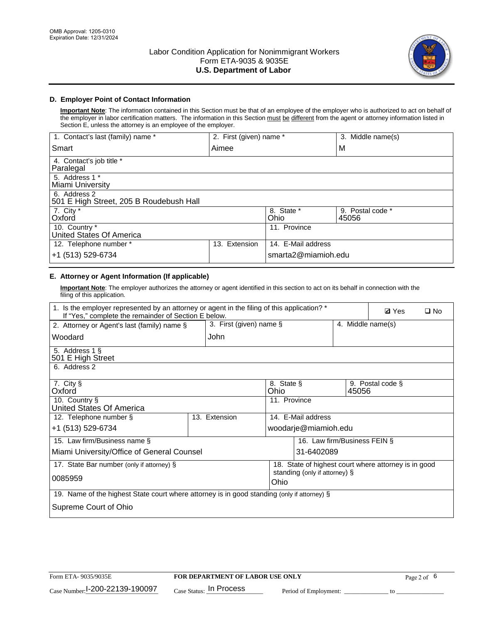

## **D. Employer Point of Contact Information**

**Important Note**: The information contained in this Section must be that of an employee of the employer who is authorized to act on behalf of the employer in labor certification matters. The information in this Section must be different from the agent or attorney information listed in Section E, unless the attorney is an employee of the employer.

| 1. Contact's last (family) name *                       | 2. First (given) name * |                     | 3. Middle name(s)         |
|---------------------------------------------------------|-------------------------|---------------------|---------------------------|
| Smart                                                   | Aimee                   |                     | M                         |
| 4. Contact's job title *<br>Paralegal                   |                         |                     |                           |
| 5. Address 1 *<br>Miami University                      |                         |                     |                           |
| 6. Address 2<br>501 E High Street, 205 B Roudebush Hall |                         |                     |                           |
| 7. City *<br>Oxford                                     |                         | 8. State *<br>Ohio  | 9. Postal code *<br>45056 |
| 10. Country *<br>United States Of America               |                         | 11. Province        |                           |
| 12. Telephone number *                                  | Extension<br>13.        | 14. E-Mail address  |                           |
| +1 (513) 529-6734                                       |                         | smarta2@miamioh.edu |                           |

## **E. Attorney or Agent Information (If applicable)**

**Important Note**: The employer authorizes the attorney or agent identified in this section to act on its behalf in connection with the filing of this application.

| 1. Is the employer represented by an attorney or agent in the filing of this application? *<br>If "Yes," complete the remainder of Section E below. |                         |                                                      |                                         |                   | <b>Ø</b> Yes | $\Box$ No |
|-----------------------------------------------------------------------------------------------------------------------------------------------------|-------------------------|------------------------------------------------------|-----------------------------------------|-------------------|--------------|-----------|
| 2. Attorney or Agent's last (family) name §                                                                                                         | 3. First (given) name § |                                                      |                                         | 4. Middle name(s) |              |           |
| Woodard                                                                                                                                             | John                    |                                                      |                                         |                   |              |           |
| 5. Address 1 §<br>501 E High Street                                                                                                                 |                         |                                                      |                                         |                   |              |           |
| 6. Address 2                                                                                                                                        |                         |                                                      |                                         |                   |              |           |
| 7. City §<br>Oxford                                                                                                                                 |                         | Ohio                                                 | 8. State §<br>9. Postal code §<br>45056 |                   |              |           |
| 10. Country §<br>United States Of America                                                                                                           |                         | 11. Province                                         |                                         |                   |              |           |
| 12. Telephone number §                                                                                                                              | 13. Extension           |                                                      | 14. E-Mail address                      |                   |              |           |
| +1 (513) 529-6734                                                                                                                                   | woodarje@miamioh.edu    |                                                      |                                         |                   |              |           |
| 15. Law firm/Business name §                                                                                                                        |                         |                                                      | 16. Law firm/Business FEIN §            |                   |              |           |
| Miami University/Office of General Counsel                                                                                                          |                         |                                                      | 31-6402089                              |                   |              |           |
| 17. State Bar number (only if attorney) §                                                                                                           |                         | 18. State of highest court where attorney is in good |                                         |                   |              |           |
| 0085959                                                                                                                                             |                         | standing (only if attorney) §<br>Ohio                |                                         |                   |              |           |
| 19. Name of the highest State court where attorney is in good standing (only if attorney) §                                                         |                         |                                                      |                                         |                   |              |           |
| Supreme Court of Ohio                                                                                                                               |                         |                                                      |                                         |                   |              |           |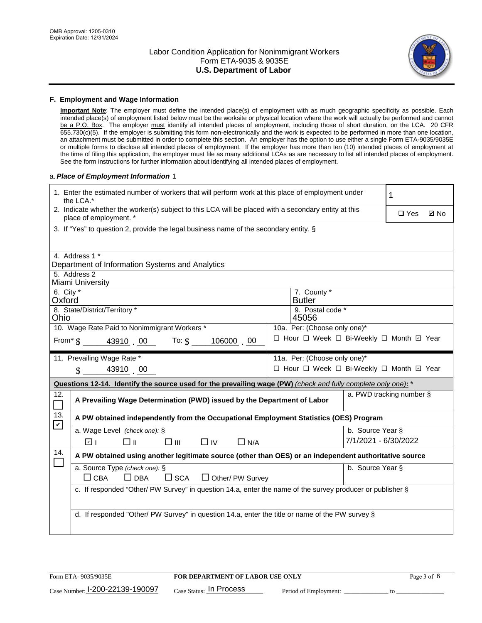

#### **F. Employment and Wage Information**

**Important Note**: The employer must define the intended place(s) of employment with as much geographic specificity as possible. Each intended place(s) of employment listed below must be the worksite or physical location where the work will actually be performed and cannot be a P.O. Box. The employer must identify all intended places of employment, including those of short duration, on the LCA. 20 CFR 655.730(c)(5). If the employer is submitting this form non-electronically and the work is expected to be performed in more than one location, an attachment must be submitted in order to complete this section. An employer has the option to use either a single Form ETA-9035/9035E or multiple forms to disclose all intended places of employment. If the employer has more than ten (10) intended places of employment at the time of filing this application, the employer must file as many additional LCAs as are necessary to list all intended places of employment. See the form instructions for further information about identifying all intended places of employment.

#### a.*Place of Employment Information* 1

| 1. Enter the estimated number of workers that will perform work at this place of employment under<br>the LCA.* |                                                                                                                                                       |  |                                          |                      | 1 |             |  |
|----------------------------------------------------------------------------------------------------------------|-------------------------------------------------------------------------------------------------------------------------------------------------------|--|------------------------------------------|----------------------|---|-------------|--|
|                                                                                                                | 2. Indicate whether the worker(s) subject to this LCA will be placed with a secondary entity at this<br>place of employment. *                        |  |                                          |                      |   | <b>Ø</b> No |  |
|                                                                                                                | 3. If "Yes" to question 2, provide the legal business name of the secondary entity. §                                                                 |  |                                          |                      |   |             |  |
|                                                                                                                | 4. Address 1 *                                                                                                                                        |  |                                          |                      |   |             |  |
|                                                                                                                | Department of Information Systems and Analytics                                                                                                       |  |                                          |                      |   |             |  |
| 5. Address 2                                                                                                   | Miami University                                                                                                                                      |  |                                          |                      |   |             |  |
| 6. City *<br>Oxford                                                                                            |                                                                                                                                                       |  | 7. County *<br><b>Butler</b>             |                      |   |             |  |
| Ohio                                                                                                           | 8. State/District/Territory *                                                                                                                         |  | 9. Postal code *<br>45056                |                      |   |             |  |
|                                                                                                                | 10. Wage Rate Paid to Nonimmigrant Workers *                                                                                                          |  | 10a. Per: (Choose only one)*             |                      |   |             |  |
|                                                                                                                | From* $\S$ 43910 00 To: $\S$<br>106000 00                                                                                                             |  | □ Hour □ Week □ Bi-Weekly □ Month ☑ Year |                      |   |             |  |
|                                                                                                                | 11. Prevailing Wage Rate *                                                                                                                            |  | 11a. Per: (Choose only one)*             |                      |   |             |  |
|                                                                                                                | $\sin 43910$ 00                                                                                                                                       |  | □ Hour □ Week □ Bi-Weekly □ Month ☑ Year |                      |   |             |  |
|                                                                                                                | Questions 12-14. Identify the source used for the prevailing wage (PW) (check and fully complete only one): *                                         |  |                                          |                      |   |             |  |
| 12.<br>$\Box$                                                                                                  | a. PWD tracking number §<br>A Prevailing Wage Determination (PWD) issued by the Department of Labor                                                   |  |                                          |                      |   |             |  |
| 13.<br>$\mathbf v$                                                                                             | A PW obtained independently from the Occupational Employment Statistics (OES) Program                                                                 |  |                                          |                      |   |             |  |
|                                                                                                                | a. Wage Level (check one): §                                                                                                                          |  |                                          | b. Source Year §     |   |             |  |
|                                                                                                                | ☑ ⊦<br>□⊪<br>$\square$ $\square$<br>$\Box$ IV<br>$\Box$ N/A                                                                                           |  |                                          | 7/1/2021 - 6/30/2022 |   |             |  |
| 14.                                                                                                            | A PW obtained using another legitimate source (other than OES) or an independent authoritative source                                                 |  |                                          |                      |   |             |  |
|                                                                                                                | a. Source Type (check one): §<br>b. Source Year §<br>$\Box$ CBA<br>$\Box$ DBA                                                                         |  |                                          |                      |   |             |  |
|                                                                                                                | $\square$ SCA<br>$\Box$ Other/ PW Survey<br>c. If responded "Other/ PW Survey" in question 14.a, enter the name of the survey producer or publisher § |  |                                          |                      |   |             |  |
|                                                                                                                |                                                                                                                                                       |  |                                          |                      |   |             |  |
|                                                                                                                | d. If responded "Other/ PW Survey" in question 14.a, enter the title or name of the PW survey §                                                       |  |                                          |                      |   |             |  |
|                                                                                                                |                                                                                                                                                       |  |                                          |                      |   |             |  |
|                                                                                                                |                                                                                                                                                       |  |                                          |                      |   |             |  |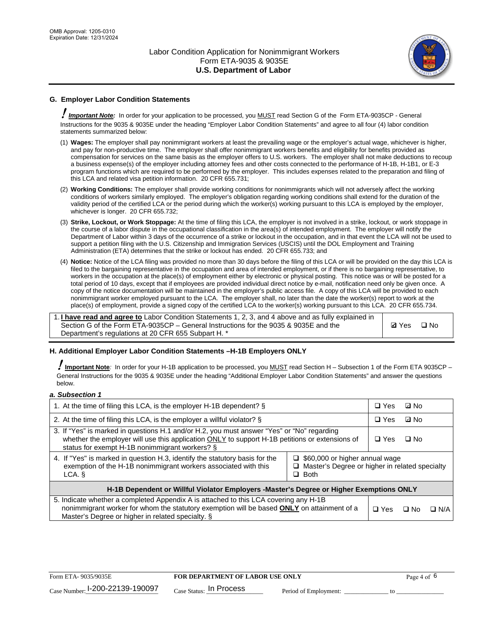

## **G. Employer Labor Condition Statements**

! *Important Note:* In order for your application to be processed, you MUST read Section G of the Form ETA-9035CP - General Instructions for the 9035 & 9035E under the heading "Employer Labor Condition Statements" and agree to all four (4) labor condition statements summarized below:

- (1) **Wages:** The employer shall pay nonimmigrant workers at least the prevailing wage or the employer's actual wage, whichever is higher, and pay for non-productive time. The employer shall offer nonimmigrant workers benefits and eligibility for benefits provided as compensation for services on the same basis as the employer offers to U.S. workers. The employer shall not make deductions to recoup a business expense(s) of the employer including attorney fees and other costs connected to the performance of H-1B, H-1B1, or E-3 program functions which are required to be performed by the employer. This includes expenses related to the preparation and filing of this LCA and related visa petition information. 20 CFR 655.731;
- (2) **Working Conditions:** The employer shall provide working conditions for nonimmigrants which will not adversely affect the working conditions of workers similarly employed. The employer's obligation regarding working conditions shall extend for the duration of the validity period of the certified LCA or the period during which the worker(s) working pursuant to this LCA is employed by the employer, whichever is longer. 20 CFR 655.732;
- (3) **Strike, Lockout, or Work Stoppage:** At the time of filing this LCA, the employer is not involved in a strike, lockout, or work stoppage in the course of a labor dispute in the occupational classification in the area(s) of intended employment. The employer will notify the Department of Labor within 3 days of the occurrence of a strike or lockout in the occupation, and in that event the LCA will not be used to support a petition filing with the U.S. Citizenship and Immigration Services (USCIS) until the DOL Employment and Training Administration (ETA) determines that the strike or lockout has ended. 20 CFR 655.733; and
- (4) **Notice:** Notice of the LCA filing was provided no more than 30 days before the filing of this LCA or will be provided on the day this LCA is filed to the bargaining representative in the occupation and area of intended employment, or if there is no bargaining representative, to workers in the occupation at the place(s) of employment either by electronic or physical posting. This notice was or will be posted for a total period of 10 days, except that if employees are provided individual direct notice by e-mail, notification need only be given once. A copy of the notice documentation will be maintained in the employer's public access file. A copy of this LCA will be provided to each nonimmigrant worker employed pursuant to the LCA. The employer shall, no later than the date the worker(s) report to work at the place(s) of employment, provide a signed copy of the certified LCA to the worker(s) working pursuant to this LCA. 20 CFR 655.734.

1. **I have read and agree to** Labor Condition Statements 1, 2, 3, and 4 above and as fully explained in Section G of the Form ETA-9035CP – General Instructions for the 9035 & 9035E and the Department's regulations at 20 CFR 655 Subpart H. \*

**Ø**Yes ロNo

#### **H. Additional Employer Labor Condition Statements –H-1B Employers ONLY**

!**Important Note***:* In order for your H-1B application to be processed, you MUST read Section H – Subsection 1 of the Form ETA 9035CP – General Instructions for the 9035 & 9035E under the heading "Additional Employer Labor Condition Statements" and answer the questions below.

#### *a. Subsection 1*

| 1. At the time of filing this LCA, is the employer H-1B dependent? §                                                                                                                                                                                                 |  |  | ⊡ No |            |
|----------------------------------------------------------------------------------------------------------------------------------------------------------------------------------------------------------------------------------------------------------------------|--|--|------|------------|
| 2. At the time of filing this LCA, is the employer a willful violator? $\S$                                                                                                                                                                                          |  |  | ⊡ No |            |
| 3. If "Yes" is marked in questions H.1 and/or H.2, you must answer "Yes" or "No" regarding<br>whether the employer will use this application ONLY to support H-1B petitions or extensions of<br>status for exempt H-1B nonimmigrant workers? §                       |  |  | ∩ No |            |
| 4. If "Yes" is marked in question H.3, identify the statutory basis for the<br>$\Box$ \$60,000 or higher annual wage<br>exemption of the H-1B nonimmigrant workers associated with this<br>□ Master's Degree or higher in related specialty<br>$\Box$ Both<br>LCA. § |  |  |      |            |
| H-1B Dependent or Willful Violator Employers -Master's Degree or Higher Exemptions ONLY                                                                                                                                                                              |  |  |      |            |
| 5. Indicate whether a completed Appendix A is attached to this LCA covering any H-1B<br>nonimmigrant worker for whom the statutory exemption will be based <b>ONLY</b> on attainment of a<br>Master's Degree or higher in related specialty. §                       |  |  | ⊡ No | $\Box$ N/A |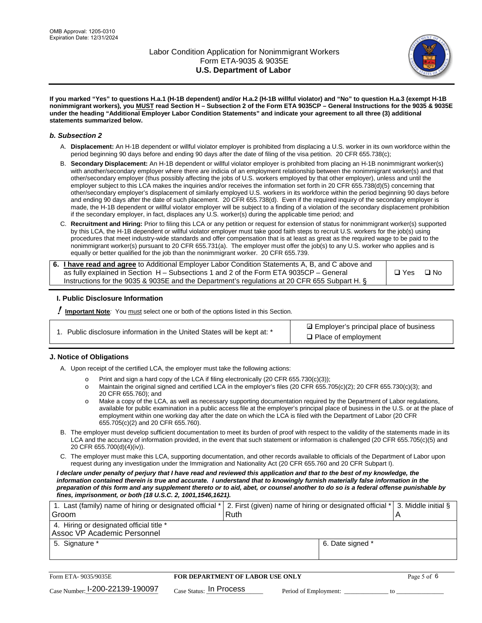

**If you marked "Yes" to questions H.a.1 (H-1B dependent) and/or H.a.2 (H-1B willful violator) and "No" to question H.a.3 (exempt H-1B nonimmigrant workers), you MUST read Section H – Subsection 2 of the Form ETA 9035CP – General Instructions for the 9035 & 9035E under the heading "Additional Employer Labor Condition Statements" and indicate your agreement to all three (3) additional statements summarized below.**

#### *b. Subsection 2*

- A. **Displacement:** An H-1B dependent or willful violator employer is prohibited from displacing a U.S. worker in its own workforce within the period beginning 90 days before and ending 90 days after the date of filing of the visa petition. 20 CFR 655.738(c);
- B. **Secondary Displacement:** An H-1B dependent or willful violator employer is prohibited from placing an H-1B nonimmigrant worker(s) with another/secondary employer where there are indicia of an employment relationship between the nonimmigrant worker(s) and that other/secondary employer (thus possibly affecting the jobs of U.S. workers employed by that other employer), unless and until the employer subject to this LCA makes the inquiries and/or receives the information set forth in 20 CFR 655.738(d)(5) concerning that other/secondary employer's displacement of similarly employed U.S. workers in its workforce within the period beginning 90 days before and ending 90 days after the date of such placement. 20 CFR 655.738(d). Even if the required inquiry of the secondary employer is made, the H-1B dependent or willful violator employer will be subject to a finding of a violation of the secondary displacement prohibition if the secondary employer, in fact, displaces any U.S. worker(s) during the applicable time period; and
- C. **Recruitment and Hiring:** Prior to filing this LCA or any petition or request for extension of status for nonimmigrant worker(s) supported by this LCA, the H-1B dependent or willful violator employer must take good faith steps to recruit U.S. workers for the job(s) using procedures that meet industry-wide standards and offer compensation that is at least as great as the required wage to be paid to the nonimmigrant worker(s) pursuant to 20 CFR 655.731(a). The employer must offer the job(s) to any U.S. worker who applies and is equally or better qualified for the job than the nonimmigrant worker. 20 CFR 655.739.

| 6. I have read and agree to Additional Employer Labor Condition Statements A, B, and C above and |       |           |
|--------------------------------------------------------------------------------------------------|-------|-----------|
| as fully explained in Section H – Subsections 1 and 2 of the Form ETA 9035CP – General           | □ Yes | $\Box$ No |
| Instructions for the 9035 & 9035 E and the Department's regulations at 20 CFR 655 Subpart H. §   |       |           |

#### **I. Public Disclosure Information**

! **Important Note***:* You must select one or both of the options listed in this Section.

**sqrt** Employer's principal place of business □ Place of employment

#### **J. Notice of Obligations**

A. Upon receipt of the certified LCA, the employer must take the following actions:

- o Print and sign a hard copy of the LCA if filing electronically (20 CFR 655.730(c)(3));<br>
Maintain the original signed and certified LCA in the employer's files (20 CFR 655.7
- Maintain the original signed and certified LCA in the employer's files (20 CFR 655.705(c)(2); 20 CFR 655.730(c)(3); and 20 CFR 655.760); and
- o Make a copy of the LCA, as well as necessary supporting documentation required by the Department of Labor regulations, available for public examination in a public access file at the employer's principal place of business in the U.S. or at the place of employment within one working day after the date on which the LCA is filed with the Department of Labor (20 CFR 655.705(c)(2) and 20 CFR 655.760).
- B. The employer must develop sufficient documentation to meet its burden of proof with respect to the validity of the statements made in its LCA and the accuracy of information provided, in the event that such statement or information is challenged (20 CFR 655.705(c)(5) and 20 CFR 655.700(d)(4)(iv)).
- C. The employer must make this LCA, supporting documentation, and other records available to officials of the Department of Labor upon request during any investigation under the Immigration and Nationality Act (20 CFR 655.760 and 20 CFR Subpart I).

*I declare under penalty of perjury that I have read and reviewed this application and that to the best of my knowledge, the*  information contained therein is true and accurate. I understand that to knowingly furnish materially false information in the *preparation of this form and any supplement thereto or to aid, abet, or counsel another to do so is a federal offense punishable by fines, imprisonment, or both (18 U.S.C. 2, 1001,1546,1621).*

| 1. Last (family) name of hiring or designated official *  2. First (given) name of hiring or designated official *  3. Middle initial § |      |                  |  |
|-----------------------------------------------------------------------------------------------------------------------------------------|------|------------------|--|
| Groom                                                                                                                                   | Ruth |                  |  |
| 4. Hiring or designated official title *                                                                                                |      |                  |  |
| Assoc VP Academic Personnel                                                                                                             |      |                  |  |
| 5. Signature *                                                                                                                          |      | 6. Date signed * |  |
|                                                                                                                                         |      |                  |  |

| Form ETA-9035/9035E             | <b>FOR DEPARTMENT OF LABOR USE ONLY</b> |                       | Page 5 of 6 |  |
|---------------------------------|-----------------------------------------|-----------------------|-------------|--|
| Case Number: 1-200-22139-190097 | $_{Case\; Status:}$ In Process          | Period of Employment: |             |  |